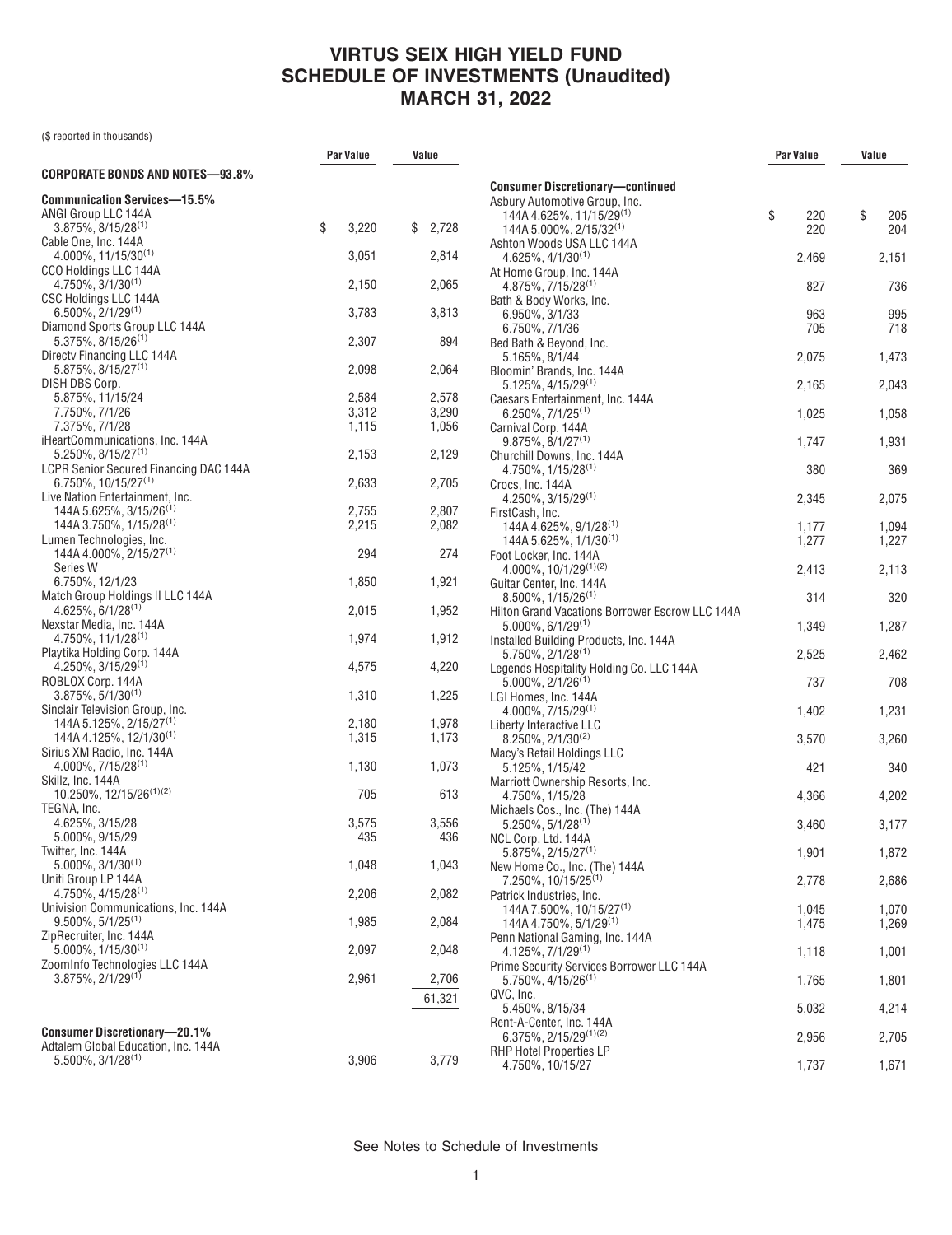(\$ reported in thousands)

|                                                                              | Par Value |                | Value |                |
|------------------------------------------------------------------------------|-----------|----------------|-------|----------------|
| CORPORATE BONDS AND NOTES—93.8%                                              |           |                |       |                |
| <b>Communication Services-15.5%</b><br>ANGI Group LLC 144A                   |           |                |       |                |
| $3.875\%$ , $8/15/28^{(1)}$                                                  | \$        | 3,220          | \$    | 2,728          |
| Cable One, Inc. 144A<br>$4.000\%$ , 11/15/30 <sup>(1)</sup>                  |           | 3,051          |       | 2,814          |
| CCO Holdings LLC 144A                                                        |           |                |       |                |
| $4.750\%$ , $3/1/30^{(1)}$                                                   |           | 2,150          |       | 2,065          |
| CSC Holdings LLC 144A<br>$6.500\%$ , $2/1/29^{(1)}$                          |           | 3,783          |       | 3,813          |
| Diamond Sports Group LLC 144A                                                |           |                |       |                |
| $5.375\%$ , $8/15/26^{(1)}$                                                  |           | 2,307          |       | 894            |
| Directy Financing LLC 144A<br>$5.875\%, 8/15/27^{(1)}$                       |           | 2,098          |       | 2,064          |
| DISH DBS Corp.                                                               |           |                |       |                |
| 5.875%, 11/15/24                                                             |           | 2,584          |       | 2,578          |
| 7.750%, 7/1/26                                                               |           | 3,312          |       | 3,290          |
| 7.375%, 7/1/28<br>iHeartCommunications, Inc. 144A                            |           | 1,115          |       | 1,056          |
| $5.250\%$ , $8/15/27^{(1)}$                                                  |           | 2,153          |       | 2,129          |
| <b>LCPR Senior Secured Financing DAC 144A</b>                                |           |                |       |                |
| $6.750\%$ , 10/15/27 <sup>(1)</sup><br>Live Nation Entertainment, Inc.       |           | 2,633          |       | 2,705          |
| 144A 5.625%, 3/15/26 <sup>(1)</sup>                                          |           | 2,755          |       | 2,807          |
| $144A3.750\%$ , $1/15/28^{(1)}$                                              |           | 2,215          |       | 2,082          |
| Lumen Technologies, Inc.                                                     |           |                |       |                |
| 144A 4.000%, 2/15/27 <sup>(1)</sup><br>Series W                              |           | 294            |       | 274            |
| 6.750%, 12/1/23                                                              |           | 1,850          |       | 1,921          |
| Match Group Holdings II LLC 144A                                             |           |                |       |                |
| $4.625\%, 6/1/28^{(1)}$<br>Nexstar Media, Inc. 144A                          |           | 2,015          |       | 1,952          |
| $4.750\%$ , 11/1/28 <sup>(1)</sup>                                           |           | 1,974          |       | 1,912          |
| Playtika Holding Corp. 144A                                                  |           |                |       |                |
| $4.250\%$ , $3/15/29^{(1)}$<br>ROBLOX Corp. 144A                             |           | 4,575          |       | 4,220          |
| $3.875\%, 5/1/30^{(1)}$                                                      |           | 1,310          |       | 1,225          |
| Sinclair Television Group, Inc.                                              |           |                |       |                |
| 144A 5.125%, 2/15/27 <sup>(1)</sup><br>$144A$ 4.125%, 12/1/30 <sup>(1)</sup> |           | 2,180<br>1,315 |       | 1,978<br>1,173 |
| Sirius XM Radio, Inc. 144A                                                   |           |                |       |                |
| $4.000\%$ , $7/15/28^{(1)}$                                                  |           | 1,130          |       | 1,073          |
| Skillz, Inc. 144A<br>10.250%, 12/15/26(1)(2)                                 |           |                |       |                |
| TEGNA, Inc.                                                                  |           | 705            |       | 613            |
| 4.625%, 3/15/28                                                              |           | 3,575          |       | 3,556          |
| 5.000%, 9/15/29                                                              |           | 435            |       | 436            |
| Twitter, Inc. 144A<br>$5.000\%$ , $3/1/30^{(1)}$                             |           | 1,048          |       | 1,043          |
| Uniti Group LP 144A                                                          |           |                |       |                |
| 4.750%, 4/15/28(1)                                                           |           | 2,206          |       | 2,082          |
| Univision Communications, Inc. 144A<br>$9.500\%$ , 5/1/25 <sup>(1)</sup>     |           | 1,985          |       | 2,084          |
| ZipRecruiter, Inc. 144A                                                      |           |                |       |                |
| $5.000\%$ , $1/15/30^{(1)}$                                                  |           | 2,097          |       | 2,048          |
| ZoomInfo Technologies LLC 144A                                               |           |                |       |                |
| $3.875\%, 2/1/29^{(1)}$                                                      |           | 2,961          |       | 2,706          |
|                                                                              |           |                |       | 61,321         |
| <b>Consumer Discretionary-20.1%</b>                                          |           |                |       |                |
| Adtalem Global Education, Inc. 144A                                          |           |                |       |                |
| $5.500\%$ , 3/1/28 <sup>(1)</sup>                                            |           | 3,906          |       | 3,779          |

| <b>Consumer Discretionary-continued</b>         |           |           |
|-------------------------------------------------|-----------|-----------|
| Asbury Automotive Group, Inc.                   |           |           |
| 144A 4.625%, 11/15/29 <sup>(1)</sup>            | \$<br>220 | \$<br>205 |
| 144A 5.000%, 2/15/32 <sup>(1)</sup>             | 220       | 204       |
| Ashton Woods USA LLC 144A                       |           |           |
| $4.625\%, 4/1/30^{(1)}$                         | 2,469     | 2,151     |
| At Home Group, Inc. 144A                        |           |           |
| $4.875\%, 7/15/28^{(1)}$                        | 827       | 736       |
| Bath & Body Works, Inc.                         |           |           |
| 6.950%, 3/1/33                                  | 963       | 995       |
| 6.750%, 7/1/36                                  | 705       | 718       |
| Bed Bath & Beyond, Inc.                         |           |           |
|                                                 |           |           |
| 5.165%, 8/1/44<br>Bloomin' Brands, Inc. 144A    | 2,075     | 1,473     |
|                                                 |           |           |
| 5.125%, 4/15/29(1)                              | 2,165     | 2,043     |
| Caesars Entertainment, Inc. 144A                |           |           |
| $6.250\%, 7/1/25^{(1)}$                         | 1,025     | 1,058     |
| Carnival Corp. 144A                             |           |           |
| $9.875\%, 8/1/27^{(1)}$                         | 1,747     | 1,931     |
| Churchill Downs, Inc. 144A                      |           |           |
| $4.750\%$ , $1/15/28^{(1)}$                     | 380       | 369       |
| Crocs, Inc. 144A                                |           |           |
| $4.250\%$ , $3/15/29^{(1)}$                     | 2,345     | 2,075     |
| FirstCash, Inc.                                 |           |           |
| 144A 4.625%, 9/1/28 <sup>(1)</sup>              | 1,177     | 1,094     |
| 144A 5.625%, 1/1/30 <sup>(1)</sup>              | 1,277     | 1,227     |
| Foot Locker, Inc. 144A                          |           |           |
| 4.000%, $10/1/29^{(1)(2)}$                      | 2,413     | 2,113     |
| Guitar Center, Inc. 144A                        |           |           |
| $8.500\%$ , $1/15/26^{(1)}$                     | 314       | 320       |
| Hilton Grand Vacations Borrower Escrow LLC 144A |           |           |
| $5.000\%$ , $6/1/29^{(1)}$                      | 1,349     | 1,287     |
| Installed Building Products, Inc. 144A          |           |           |
| $5.750\%$ , $2/1/28^{(1)}$                      | 2,525     | 2,462     |
| Legends Hospitality Holding Co. LLC 144A        |           |           |
| $5.000\%$ , $2/1/26^{(1)}$                      | 737       | 708       |
| LGI Homes, Inc. 144A                            |           |           |
| $4.000\%, 7/15/29^{(1)}$                        | 1,402     | 1,231     |
| Liberty Interactive LLC                         |           |           |
| $8.250\%, 2/1/30^{(2)}$                         | 3,570     | 3,260     |
| Macy's Retail Holdings LLC                      |           |           |
| 5.125%, 1/15/42                                 | 421       | 340       |
| Marriott Ownership Resorts, Inc.                |           |           |
| 4.750%, 1/15/28                                 | 4,366     | 4,202     |
| Michaels Cos., Inc. (The) 144A                  |           |           |
| $5.250\%$ , $5/1/28^{(1)}$                      | 3,460     | 3,177     |
| NCL Corp. Ltd. 144A                             |           |           |
| $5.875\%, 2/15/27^{(1)}$                        | 1,901     | 1,872     |
| New Home Co., Inc. (The) 144A                   |           |           |
| 7.250%, 10/15/25 <sup>(1)</sup>                 | 2,778     | 2,686     |
| Patrick Industries, Inc.                        |           |           |
| 144A 7.500%, 10/15/27 <sup>(1)</sup>            | 1.045     | 1,070     |
| 144A 4.750%, 5/1/29 <sup>(1)</sup>              | 1,475     | 1,269     |
| Penn National Gaming, Inc. 144A                 |           |           |
| $4.125\%, 7/1/29^{(1)}$                         | 1,118     | 1,001     |
| Prime Security Services Borrower LLC 144A       |           |           |
|                                                 |           |           |
| $5.750\%$ , 4/15/26 <sup>(1)</sup>              | 1,765     | 1,801     |
| QVC, Inc.                                       |           |           |
| 5.450%, 8/15/34                                 | 5,032     | 4,214     |
| Rent-A-Center, Inc. 144A                        |           |           |
| $6.375\%$ , 2/15/29 <sup>(1)(2)</sup>           | 2,956     | 2,705     |
| <b>RHP Hotel Properties LP</b>                  |           |           |
| 4.750%, 10/15/27                                | 1,737     | 1,671     |

**Par Value Value**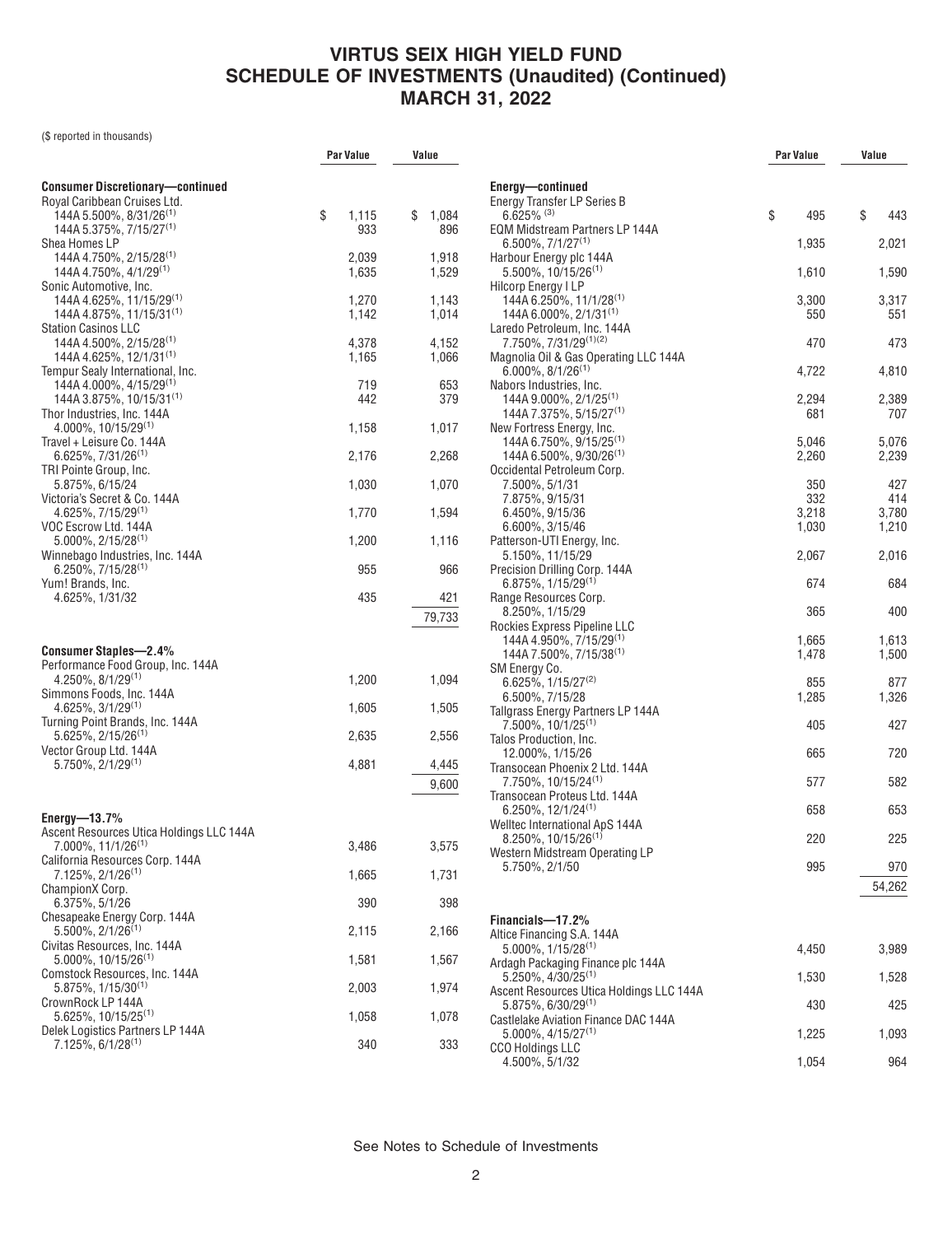(\$ reported in thousands)

|                                                                           | Par Value      | Value          |  |
|---------------------------------------------------------------------------|----------------|----------------|--|
| <b>Consumer Discretionary-continued</b>                                   |                |                |  |
| Royal Caribbean Cruises Ltd.<br>144A 5.500%, 8/31/26 <sup>(1)</sup>       | \$<br>1,115    | \$<br>1,084    |  |
| 144A 5.375%, 7/15/27 <sup>(1)</sup>                                       | 933            | 896            |  |
| Shea Homes LP                                                             |                |                |  |
| 144A 4.750%, 2/15/28 <sup>(1)</sup><br>144A 4.750%, 4/1/29 <sup>(1)</sup> | 2,039<br>1,635 | 1,918<br>1,529 |  |
| Sonic Automotive, Inc.                                                    |                |                |  |
| 144A 4.625%, 11/15/29 <sup>(1)</sup>                                      | 1,270          | 1,143          |  |
| 144A 4.875%, 11/15/31 <sup>(1)</sup><br><b>Station Casinos LLC</b>        | 1,142          | 1,014          |  |
| 144A 4.500%, 2/15/28 <sup>(1)</sup>                                       | 4,378          | 4,152          |  |
| 144A 4.625%, 12/1/31 <sup>(1)</sup><br>Tempur Sealy International, Inc.   | 1,165          | 1,066          |  |
| 144A 4.000%, 4/15/29(1)                                                   | 719            | 653            |  |
| 144A 3.875%, 10/15/31 <sup>(1)</sup>                                      | 442            | 379            |  |
| Thor Industries, Inc. 144A<br>4.000%, 10/15/29(1)                         | 1,158          | 1,017          |  |
| Travel + Leisure Co. 144A                                                 |                |                |  |
| $6.625\%, 7/31/26^{(1)}$                                                  | 2,176          | 2,268          |  |
| TRI Pointe Group, Inc.<br>5.875%, 6/15/24                                 | 1,030          | 1,070          |  |
| Victoria's Secret & Co. 144A                                              |                |                |  |
| $4.625\%, 7/15/29^{(1)}$<br>VOC Escrow Ltd. 144A                          | 1,770          | 1,594          |  |
| $5.000\%$ , 2/15/28 <sup>(1)</sup>                                        | 1,200          | 1,116          |  |
| Winnebago Industries, Inc. 144A                                           |                |                |  |
| $6.250\%, 7/15/28^{(1)}$<br>Yum! Brands, Inc.                             | 955            | 966            |  |
| 4.625%, 1/31/32                                                           | 435            | 421            |  |
|                                                                           |                | 79,733         |  |
|                                                                           |                |                |  |
| <b>Consumer Staples-2.4%</b>                                              |                |                |  |
| Performance Food Group, Inc. 144A<br>$4.250\%$ , $8/1/29^{(1)}$           | 1,200          | 1,094          |  |
| Simmons Foods, Inc. 144A                                                  |                |                |  |
| $4.625\%, 3/1/29^{(1)}$<br>Turning Point Brands, Inc. 144A                | 1,605          | 1,505          |  |
| $5.625\%, 2/15/26^{(1)}$                                                  | 2,635          | 2,556          |  |
| Vector Group Ltd. 144A                                                    |                |                |  |
| $5.750\%$ , $2/1/29^{(1)}$                                                | 4,881          | 4,445          |  |
|                                                                           |                | 9,600          |  |
| Energy- $-13.7\%$                                                         |                |                |  |
| Ascent Resources Utica Holdings LLC 144A                                  |                |                |  |
| 7.000%, 11/1/26 <sup>(1)</sup><br>California Resources Corp. 144A         | 3,486          | 3,575          |  |
| $7.125\%, 2/1/26^{(1)}$                                                   | 1,665          | 1,731          |  |
| ChampionX Corp.                                                           |                |                |  |
| 6.375%, 5/1/26<br>Chesapeake Energy Corp. 144A                            | 390            | 398            |  |
| $5.500\%$ , $2/1/26^{(1)}$                                                | 2,115          | 2,166          |  |
| Civitas Resources, Inc. 144A                                              |                |                |  |
| $5.000\%$ , 10/15/26 <sup>(1)</sup><br>Comstock Resources, Inc. 144A      | 1,581          | 1,567          |  |
| $5.875\%, 1/15/30^{(1)}$                                                  | 2,003          | 1,974          |  |
| CrownRock LP 144A<br>$5.625\%, 10/15/25^{(1)}$                            | 1,058          | 1,078          |  |
| Delek Logistics Partners LP 144A                                          |                |                |  |
| $7.125\%, 6/1/28^{(1)}$                                                   | 340            | 333            |  |
|                                                                           |                |                |  |

|                                                                                | Par Value      | Value          |
|--------------------------------------------------------------------------------|----------------|----------------|
|                                                                                |                |                |
| Energy-continued<br>Energy Transfer LP Series B<br>$6.625\%$ <sup>(3)</sup>    | \$<br>495      | \$<br>443      |
| EQM Midstream Partners LP 144A<br>$6.500\%$ , $7/1/27^{(1)}$                   |                |                |
| Harbour Energy plc 144A                                                        | 1,935          | 2,021          |
| $5.500\%$ , 10/15/26 <sup>(1)</sup><br><b>Hilcorp Energy I LP</b>              | 1,610          | 1,590          |
| 144A 6.250%, 11/1/28 <sup>(1)</sup><br>144A 6.000%, 2/1/31 <sup>(1)</sup>      | 3,300<br>550   | 3,317<br>551   |
| Laredo Petroleum, Inc. 144A<br>7.750%, 7/31/29(1)(2)                           | 470            | 473            |
| Magnolia Oil & Gas Operating LLC 144A<br>$6.000\%$ , 8/1/26 $^{(1)}$           | 4,722          | 4,810          |
| Nabors Industries, Inc.<br>$144A$ 9.000%, 2/1/25 <sup>(1)</sup>                | 2,294          | 2,389          |
| 144A 7.375%, 5/15/27 <sup>(1)</sup><br>New Fortress Energy, Inc.               | 681            | 707            |
| 144A 6.750%, 9/15/25 <sup>(1)</sup><br>144A 6.500%, 9/30/26 <sup>(1)</sup>     | 5,046<br>2,260 | 5,076<br>2,239 |
| Occidental Petroleum Corp.<br>7.500%, 5/1/31                                   | 350            | 427            |
| 7.875%, 9/15/31<br>6.450%, 9/15/36                                             | 332            | 414<br>3,780   |
| 6.600%, 3/15/46                                                                | 3,218<br>1,030 | 1,210          |
| Patterson-UTI Energy, Inc.<br>5.150%, 11/15/29                                 | 2,067          | 2,016          |
| Precision Drilling Corp. 144A<br>$6.875\%, 1/15/29^{(1)}$                      | 674            | 684            |
| Range Resources Corp.<br>8.250%, 1/15/29                                       | 365            | 400            |
| Rockies Express Pipeline LLC<br>144A 4.950%, 7/15/29 <sup>(1)</sup>            | 1,665          | 1,613          |
| 144A 7.500%, 7/15/38 <sup>(1)</sup><br>SM Energy Co.                           | 1,478          | 1,500          |
| $6.625\%$ , 1/15/27 <sup>(2)</sup><br>6.500%, 7/15/28                          | 855<br>1,285   | 877<br>1,326   |
| Tallgrass Energy Partners LP 144A<br>$7.500\%$ , 10/1/25 <sup>(1)</sup>        | 405            | 427            |
| Talos Production, Inc.<br>12.000%, 1/15/26                                     | 665            | 720            |
| Transocean Phoenix 2 Ltd. 144A<br>7.750%, 10/15/24 <sup>(1)</sup>              | 577            | 582            |
| Transocean Proteus Ltd. 144A<br>6.250%, 12/1/24(1)                             | 658            | 653            |
| Welltec International ApS 144A<br>$8.250\%$ , 10/15/26 <sup>(1)</sup>          | 220            | 225            |
| Western Midstream Operating LP<br>5.750%, 2/1/50                               | 995            | 970            |
|                                                                                |                | 54,262         |
| Financials-17.2%                                                               |                |                |
| Altice Financing S.A. 144A<br>$5.000\%$ , $1/15/28^{(1)}$                      | 4,450          | 3,989          |
| Ardagh Packaging Finance plc 144A<br>$5.250\%$ , 4/30/25 <sup>(1)</sup>        | 1,530          | 1,528          |
| Ascent Resources Utica Holdings LLC 144A<br>$5.875\%$ , 6/30/29 <sup>(1)</sup> | 430            | 425            |
| Castlelake Aviation Finance DAC 144A<br>$5.000\%$ , 4/15/27 <sup>(1)</sup>     | 1,225          | 1,093          |
| CCO Holdings LLC<br>4.500%, 5/1/32                                             | 1,054          | 964            |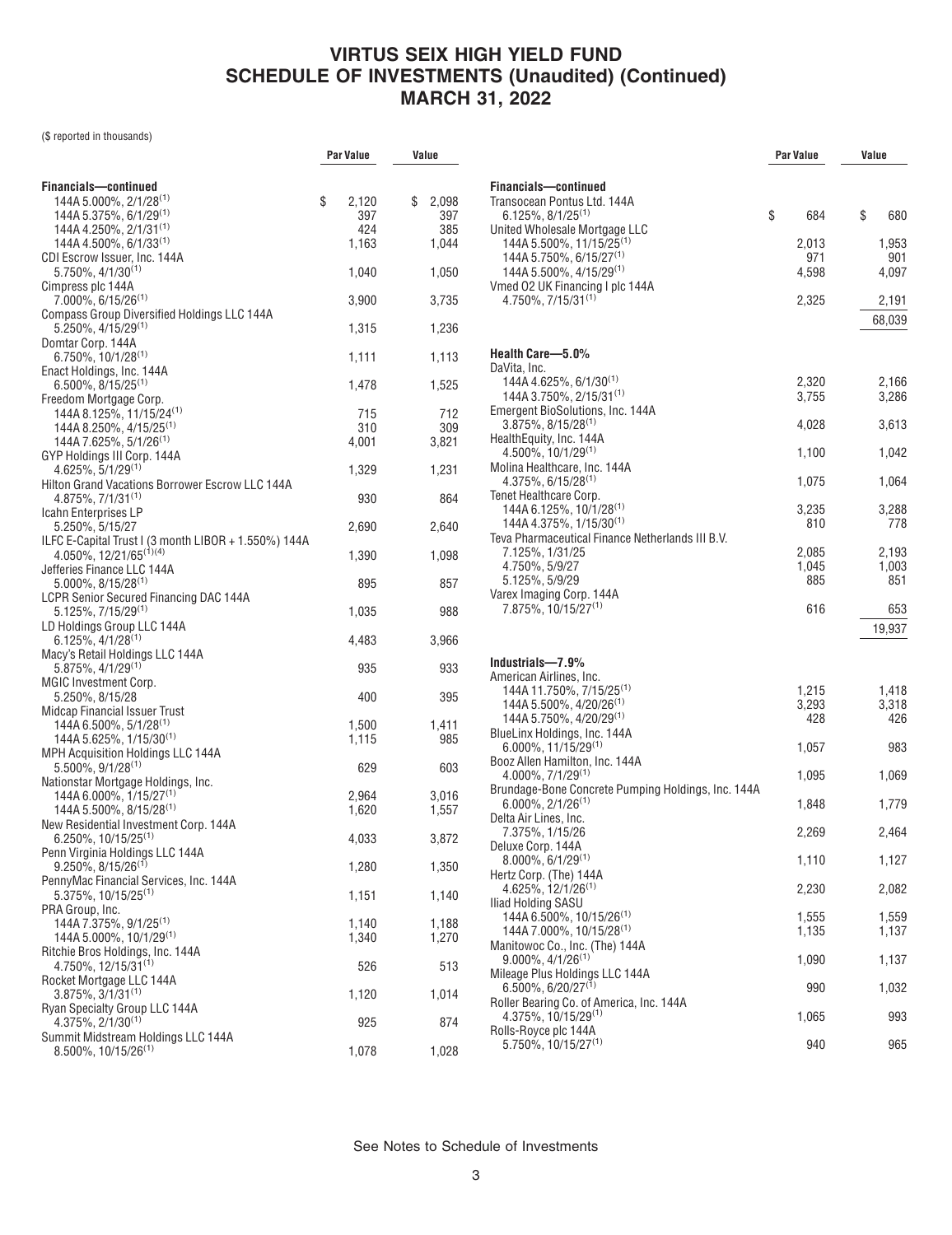(\$ reported in thousands)

|                                                                                                | Par Value   | Value                     |
|------------------------------------------------------------------------------------------------|-------------|---------------------------|
|                                                                                                |             |                           |
| Financials-continued                                                                           |             |                           |
| 144A 5.000%, 2/1/28 <sup>(1)</sup><br>144A 5.375%, 6/1/29 <sup>(1)</sup>                       | \$<br>2,120 | \$<br>2,098<br>397<br>397 |
| 144A 4.250%, $2/1/31^{(1)}$                                                                    |             | 424<br>385                |
| 144A 4.500%, $6/1/33^{(1)}$                                                                    | 1,163       | 1,044                     |
| CDI Escrow Issuer, Inc. 144A                                                                   |             |                           |
| $5.750\%$ , 4/1/30 <sup>(1)</sup>                                                              | 1,040       | 1,050                     |
| Cimpress plc 144A                                                                              |             |                           |
| $7.000\%$ , 6/15/26 <sup>(1)</sup>                                                             | 3,900       | 3,735                     |
| <b>Compass Group Diversified Holdings LLC 144A</b><br>$5.250\%$ , 4/15/29 <sup>(1)</sup>       | 1,315       | 1,236                     |
| Domtar Corp. 144A                                                                              |             |                           |
| $6.750\%$ , 10/1/28 <sup>(1)</sup>                                                             | 1,111       | 1,113                     |
| Enact Holdings, Inc. 144A                                                                      |             |                           |
| $6.500\%$ , $8/15/25^{(1)}$                                                                    | 1,478       | 1,525                     |
| Freedom Mortgage Corp.                                                                         |             |                           |
| 144A 8.125%, 11/15/24 <sup>(1)</sup>                                                           |             | 715<br>712                |
| $144A8.250\%$ , $4/15/25^{(1)}$<br>144A 7.625%, 5/1/26 <sup>(1)</sup>                          | 4,001       | 310<br>309<br>3,821       |
| GYP Holdings III Corp. 144A                                                                    |             |                           |
| $4.625\%$ , $5/1/29^{(1)}$                                                                     | 1,329       | 1,231                     |
| Hilton Grand Vacations Borrower Escrow LLC 144A                                                |             |                           |
| $4.875\%, 7/1/31^{(1)}$                                                                        |             | 930<br>864                |
| Icahn Enterprises LP                                                                           |             |                           |
| 5.250%, 5/15/27                                                                                | 2,690       | 2,640                     |
| ILFC E-Capital Trust I (3 month LIBOR + 1.550%) 144A<br>$4.050\%$ , 12/21/65 <sup>(1)(4)</sup> | 1,390       | 1,098                     |
| Jefferies Finance LLC 144A                                                                     |             |                           |
| $5.000\%$ , $8/15/28^{(1)}$                                                                    |             | 895<br>857                |
| <b>LCPR Senior Secured Financing DAC 144A</b>                                                  |             |                           |
| $5.125\%, 7/15/29^{(1)}$                                                                       | 1,035       | 988                       |
| LD Holdings Group LLC 144A                                                                     |             |                           |
| 6.125%, 4/1/28(1)<br>Macy's Retail Holdings LLC 144A                                           | 4,483       | 3,966                     |
| $5.875\%, 4/1/29^{(1)}$                                                                        |             | 935<br>933                |
| MGIC Investment Corp.                                                                          |             |                           |
| 5.250%, 8/15/28                                                                                |             | 400<br>395                |
| <b>Midcap Financial Issuer Trust</b>                                                           |             |                           |
| 144A 6.500%, 5/1/28 <sup>(1)</sup>                                                             | 1,500       | 1,411                     |
| 144A 5.625%, 1/15/30 <sup>(1)</sup>                                                            | 1,115       | 985                       |
| MPH Acquisition Holdings LLC 144A<br>$5.500\%$ , 9/1/28 <sup>(1)</sup>                         |             | 629<br>603                |
| Nationstar Mortgage Holdings, Inc.                                                             |             |                           |
| 144A 6.000%, 1/15/27 <sup>(1)</sup>                                                            | 2,964       | 3,016                     |
| 144A 5.500%, 8/15/28 <sup>(1)</sup>                                                            | 1,620       | 1,557                     |
| New Residential Investment Corp. 144A                                                          |             |                           |
| $6.250\%$ , 10/15/25 <sup>(1)</sup>                                                            | 4,033       | 3,872                     |
| Penn Virginia Holdings LLC 144A                                                                |             |                           |
| $9.250\%$ , 8/15/26 <sup>(1)</sup><br>PennyMac Financial Services, Inc. 144A                   | 1,280       | 1,350                     |
| $5.375\%$ , 10/15/25 <sup>(1)</sup>                                                            | 1,151       | 1,140                     |
| PRA Group, Inc.                                                                                |             |                           |
| 144A 7.375%, 9/1/25 <sup>(1)</sup>                                                             | 1,140       | 1,188                     |
| 144A 5.000%, 10/1/29 <sup>(1)</sup>                                                            | 1,340       | 1,270                     |
| Ritchie Bros Holdings, Inc. 144A                                                               |             |                           |
| 4.750%, 12/15/31 <sup>(1)</sup>                                                                |             | 526<br>513                |
| Rocket Mortgage LLC 144A<br>$3.875\%, 3/1/31^{(1)}$                                            | 1,120       | 1,014                     |
| Ryan Specialty Group LLC 144A                                                                  |             |                           |
| $4.375\%, 2/1/30^{(1)}$                                                                        |             | 925<br>874                |
| Summit Midstream Holdings LLC 144A                                                             |             |                           |
| $8.500\%$ , 10/15/26 <sup>(1)</sup>                                                            | 1,078       | 1,028                     |
|                                                                                                |             |                           |

|                                                                         | Par Value      | Value          |  |
|-------------------------------------------------------------------------|----------------|----------------|--|
| Financials-continued                                                    |                |                |  |
| Transocean Pontus Ltd. 144A<br>$6.125\%, 8/1/25^{(1)}$                  | \$<br>684      | \$<br>680      |  |
| United Wholesale Mortgage LLC                                           |                |                |  |
| 144A 5.500%, 11/15/25 <sup>(1)</sup>                                    | 2,013          | 1,953          |  |
| 144A 5.750%, 6/15/27 <sup>(1)</sup>                                     | 971            | 901            |  |
| 144A 5.500%, 4/15/29 <sup>(1)</sup>                                     | 4,598          | 4,097          |  |
| Vmed 02 UK Financing I plc 144A<br>4.750%, 7/15/31 <sup>(1)</sup>       | 2,325          | 2,191          |  |
|                                                                         |                | 68,039         |  |
|                                                                         |                |                |  |
| Health Care-5.0%                                                        |                |                |  |
| DaVita, Inc.                                                            |                |                |  |
| 144A 4.625%, 6/1/30 <sup>(1)</sup>                                      | 2,320          | 2,166          |  |
| 144A 3.750%, 2/15/31 <sup>(1)</sup><br>Emergent BioSolutions, Inc. 144A | 3,755          | 3,286          |  |
| $3.875\%$ , $8/15/28^{(1)}$                                             | 4,028          | 3,613          |  |
| HealthEquity, Inc. 144A                                                 |                |                |  |
| $4.500\%$ , 10/1/29 <sup>(1)</sup>                                      | 1,100          | 1,042          |  |
| Molina Healthcare, Inc. 144A                                            |                |                |  |
| $4.375\%$ , 6/15/28 <sup>(1)</sup><br>Tenet Healthcare Corp.            | 1,075          | 1,064          |  |
| 144A 6.125%, 10/1/28 <sup>(1)</sup>                                     | 3,235          | 3,288          |  |
| 144A 4.375%, 1/15/30 <sup>(1)</sup>                                     | 810            | 778            |  |
| Teva Pharmaceutical Finance Netherlands III B.V.                        |                |                |  |
| 7.125%, 1/31/25<br>4.750%, 5/9/27                                       | 2,085<br>1,045 | 2,193<br>1,003 |  |
| 5.125%, 5/9/29                                                          | 885            | 851            |  |
| Varex Imaging Corp. 144A                                                |                |                |  |
| 7.875%, 10/15/27 <sup>(1)</sup>                                         | 616            | 653            |  |
|                                                                         |                | 19,937         |  |
|                                                                         |                |                |  |
| Industrials-7.9%                                                        |                |                |  |
| American Airlines, Inc.<br>144A 11.750%, 7/15/25 <sup>(1)</sup>         | 1,215          | 1,418          |  |
| 144A 5.500%, 4/20/26 <sup>(1)</sup>                                     | 3,293          | 3,318          |  |
| 144A 5.750%, 4/20/29 <sup>(1)</sup>                                     | 428            | 426            |  |
| BlueLinx Holdings, Inc. 144A                                            |                |                |  |
| $6.000\%$ , 11/15/29 <sup>(1)</sup><br>Booz Allen Hamilton, Inc. 144A   | 1,057          | 983            |  |
| $4.000\%$ , $7/1/29^{(1)}$                                              | 1,095          | 1,069          |  |
| Brundage-Bone Concrete Pumping Holdings, Inc. 144A                      |                |                |  |
| $6.000\%$ , $2/1/26$ <sup>(1)</sup>                                     | 1,848          | 1,779          |  |
| Delta Air Lines, Inc.<br>7.375%, 1/15/26                                | 2,269          | 2,464          |  |
| Deluxe Corp. 144A                                                       |                |                |  |
| $8.000\%$ , 6/1/29 <sup>(1)</sup>                                       | 1,110          | 1,127          |  |
| Hertz Corp. (The) 144A                                                  |                |                |  |
| $4.625\%, 12/1/26^{(1)}$<br>Iliad Holding SASU                          | 2,230          | 2,082          |  |
| 144A 6.500%, 10/15/26 <sup>(1)</sup>                                    | 1,555          | 1,559          |  |
| 144A 7.000%, 10/15/28 <sup>(1)</sup>                                    | 1,135          | 1,137          |  |
| Manitowoc Co., Inc. (The) 144A                                          |                |                |  |
| $9.000\%$ , $4/1/26^{(1)}$                                              | 1,090          | 1,137          |  |
| Mileage Plus Holdings LLC 144A<br>$6.500\%$ , 6/20/27 <sup>(1)</sup>    | 990            | 1,032          |  |
| Roller Bearing Co. of America, Inc. 144A                                |                |                |  |
| $4.375\%, 10/15/29^{(1)}$                                               | 1,065          | 993            |  |
| Rolls-Royce plc 144A<br>$5.750\%$ , 10/15/27 <sup>(1)</sup>             | 940            | 965            |  |
|                                                                         |                |                |  |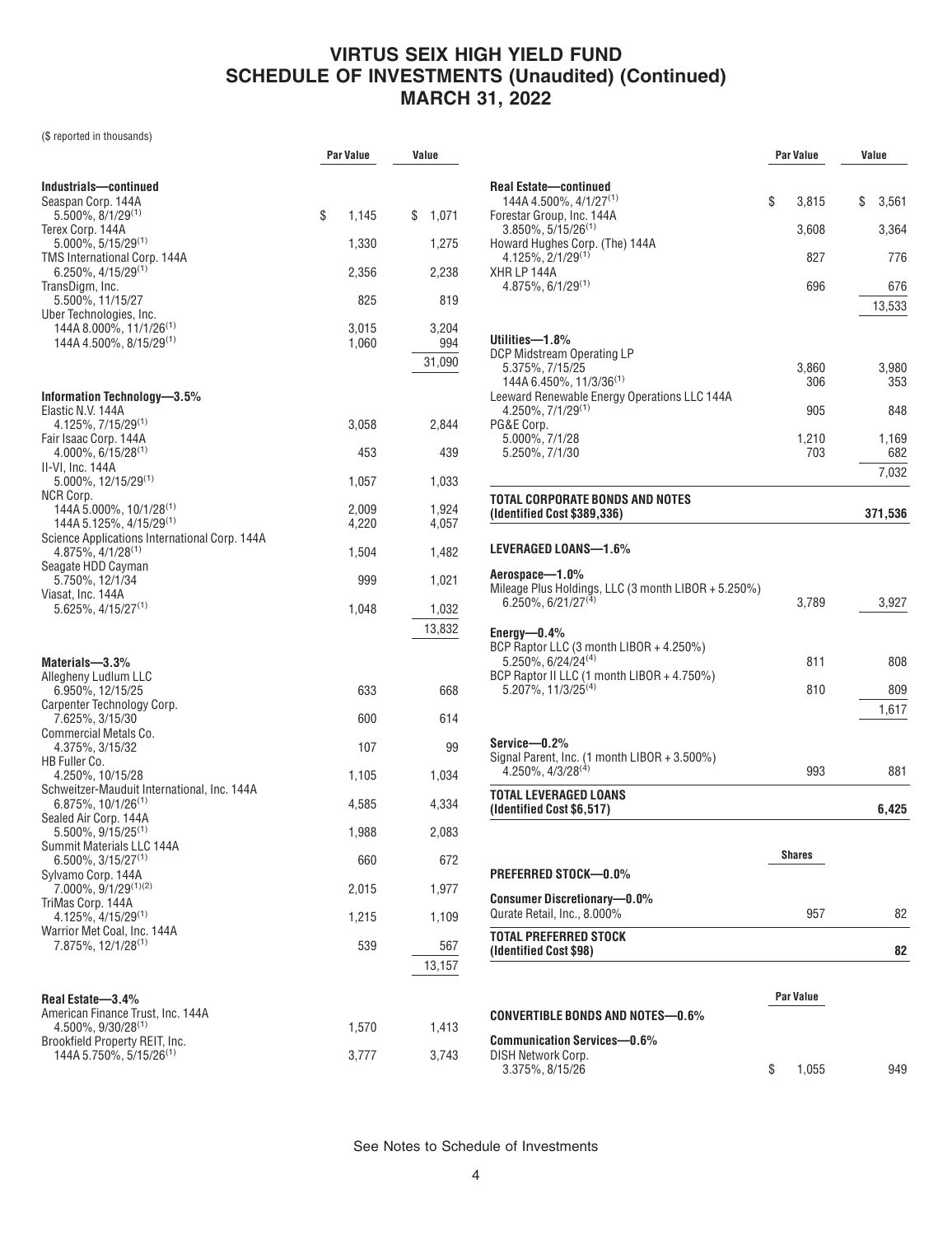(\$ reported in thousands)

|                                                                          | <b>Par Value</b> | Value       |
|--------------------------------------------------------------------------|------------------|-------------|
|                                                                          |                  |             |
| Industrials-continued<br>Seaspan Corp. 144A                              |                  |             |
| $5.500\%$ , $8/1/29^{(1)}$                                               | \$<br>1,145      | \$<br>1,071 |
| Terex Corp. 144A                                                         |                  |             |
| $5.000\%$ , $5/15/29^{(1)}$<br>TMS International Corp. 144A              | 1,330            | 1,275       |
| $6.250\%$ , 4/15/29 <sup>(1)</sup>                                       | 2,356            | 2,238       |
| TransDigm, Inc.                                                          |                  |             |
| 5.500%, 11/15/27<br>Uber Technologies, Inc.                              | 825              | 819         |
| 144A 8.000%, 11/1/26 <sup>(1)</sup>                                      | 3,015            | 3,204       |
| 144A 4.500%, 8/15/29 <sup>(1)</sup>                                      | 1,060            | 994         |
|                                                                          |                  | 31,090      |
| Information Technology-3.5%                                              |                  |             |
| Elastic N.V. 144A                                                        |                  |             |
| $4.125\%, 7/15/29^{(1)}$                                                 | 3,058            | 2,844       |
| Fair Isaac Corp. 144A<br>$4.000\%$ , 6/15/28 <sup>(1)</sup>              | 453              | 439         |
| II-VI, Inc. 144A                                                         |                  |             |
| $5.000\%$ , 12/15/29 <sup>(1)</sup><br>NCR Corp.                         | 1,057            | 1,033       |
| 144A 5.000%, 10/1/28 <sup>(1)</sup>                                      | 2,009            | 1,924       |
| 144A 5.125%, 4/15/29 <sup>(1)</sup>                                      | 4,220            | 4,057       |
| Science Applications International Corp. 144A<br>$4.875\%, 4/1/28^{(1)}$ | 1,504            | 1,482       |
| Seagate HDD Cayman                                                       |                  |             |
| 5.750%, 12/1/34<br>Viasat, Inc. 144A                                     | 999              | 1,021       |
| $5.625\%, 4/15/27^{(1)}$                                                 | 1,048            | 1,032       |
|                                                                          |                  | 13,832      |
|                                                                          |                  |             |
| Materials-3.3%                                                           |                  |             |
| Allegheny Ludlum LLC<br>6.950%, 12/15/25                                 | 633              | 668         |
| Carpenter Technology Corp.                                               |                  |             |
| 7.625%, 3/15/30<br>Commercial Metals Co.                                 | 600              | 614         |
| 4.375%, 3/15/32                                                          | 107              | 99          |
| HB Fuller Co.<br>4.250%, 10/15/28                                        | 1,105            | 1,034       |
| Schweitzer-Mauduit International, Inc. 144A                              |                  |             |
| 6.875%, 10/1/26 <sup>(1)</sup><br>Sealed Air Corp. 144A                  | 4,585            | 4,334       |
| $5.500\%$ , $9/15/25^{(1)}$                                              | 1,988            | 2,083       |
| Summit Materials LLC 144A                                                | 660              | 672         |
| $6.500\%$ , 3/15/27 <sup>(1)</sup><br>Sylvamo Corp. 144A                 |                  |             |
| 7.000%, 9/1/29(1)(2)                                                     | 2,015            | 1,977       |
| TriMas Corp. 144A<br>$4.125\%$ , $4/15/29^{(1)}$                         | 1,215            | 1,109       |
| Warrior Met Coal, Inc. 144A                                              |                  |             |
| 7.875%, 12/1/28 <sup>(1)</sup>                                           | 539              | 567         |
|                                                                          |                  | 13,157      |
| Real Estate-3.4%                                                         |                  |             |
| American Finance Trust, Inc. 144A                                        |                  |             |
| $4.500\%$ , $9/30/28^{(1)}$                                              | 1,570            | 1,413       |
| Brookfield Property REIT, Inc.<br>144A 5.750%, 5/15/26 <sup>(1)</sup>    | 3,777            | 3,743       |
|                                                                          |                  |             |

|                                                                                                 | <b>Par Value</b> | Value        |
|-------------------------------------------------------------------------------------------------|------------------|--------------|
|                                                                                                 |                  |              |
| <b>Real Estate-continued</b><br>144A 4.500%, 4/1/27 <sup>(1)</sup><br>Forestar Group, Inc. 144A | \$<br>3,815      | \$<br>3,561  |
| $3.850\%$ , 5/15/26 <sup>(1)</sup><br>Howard Hughes Corp. (The) 144A                            | 3,608            | 3,364        |
| $4.125\%, 2/1/29^{(1)}$<br>XHR LP 144A                                                          | 827              | 776          |
| $4.875\%, 6/1/29^{(1)}$                                                                         | 696              | 676          |
|                                                                                                 |                  | 13,533       |
| Utilities-1.8%                                                                                  |                  |              |
| DCP Midstream Operating LP<br>5.375%, 7/15/25                                                   | 3,860            | 3,980        |
| 144A 6.450%, 11/3/36 <sup>(1)</sup><br>Leeward Renewable Energy Operations LLC 144A             | 306              | 353          |
| $4.250\%, 7/1/29^{(1)}$<br>PG&E Corp.                                                           | 905              | 848          |
| 5.000%, 7/1/28<br>5.250%, 7/1/30                                                                | 1,210<br>703     | 1,169<br>682 |
|                                                                                                 |                  | 7,032        |
| TOTAL CORPORATE BONDS AND NOTES                                                                 |                  |              |
| (Identified Cost \$389,336)                                                                     |                  | 371,536      |
| LEVERAGED LOANS—1.6%                                                                            |                  |              |
| Aerospace-1.0%                                                                                  |                  |              |
| Mileage Plus Holdings, LLC (3 month LIBOR + 5.250%)<br>$6.250\%$ , $6/21/27^{(4)}$              | 3,789            | 3,927        |
| Energy— $0.4\%$                                                                                 |                  |              |
| BCP Raptor LLC (3 month LIBOR + 4.250%)<br>5.250%, 6/24/24 <sup>(4)</sup>                       | 811              | 808          |
| BCP Raptor II LLC (1 month LIBOR + 4.750%)<br>$5.207\%$ , 11/3/25 <sup>(4)</sup>                | 810              | 809          |
|                                                                                                 |                  | 1,617        |
| Service—0.2%                                                                                    |                  |              |
| Signal Parent, Inc. (1 month LIBOR + 3.500%)<br>$4.250\%$ , $4/3/28^{(4)}$                      | 993              | 881          |
| TOTAL LEVERAGED LOANS                                                                           |                  |              |
| (Identified Cost \$6,517)                                                                       |                  | 6,425        |
|                                                                                                 | <b>Shares</b>    |              |
| PREFERRED STOCK-0.0%                                                                            |                  |              |
| <b>Consumer Discretionary-0.0%</b><br>Qurate Retail, Inc., 8.000%                               | 957              | 82           |
| TOTAL PREFERRED STOCK                                                                           |                  |              |
| (Identified Cost \$98)                                                                          |                  | 82           |
|                                                                                                 | Par Value        |              |
| CONVERTIBLE BONDS AND NOTES—0.6%                                                                |                  |              |
| <b>Communication Services-0.6%</b>                                                              |                  |              |
| DISH Network Corp.<br>3.375%, 8/15/26                                                           | \$<br>1,055      | 949          |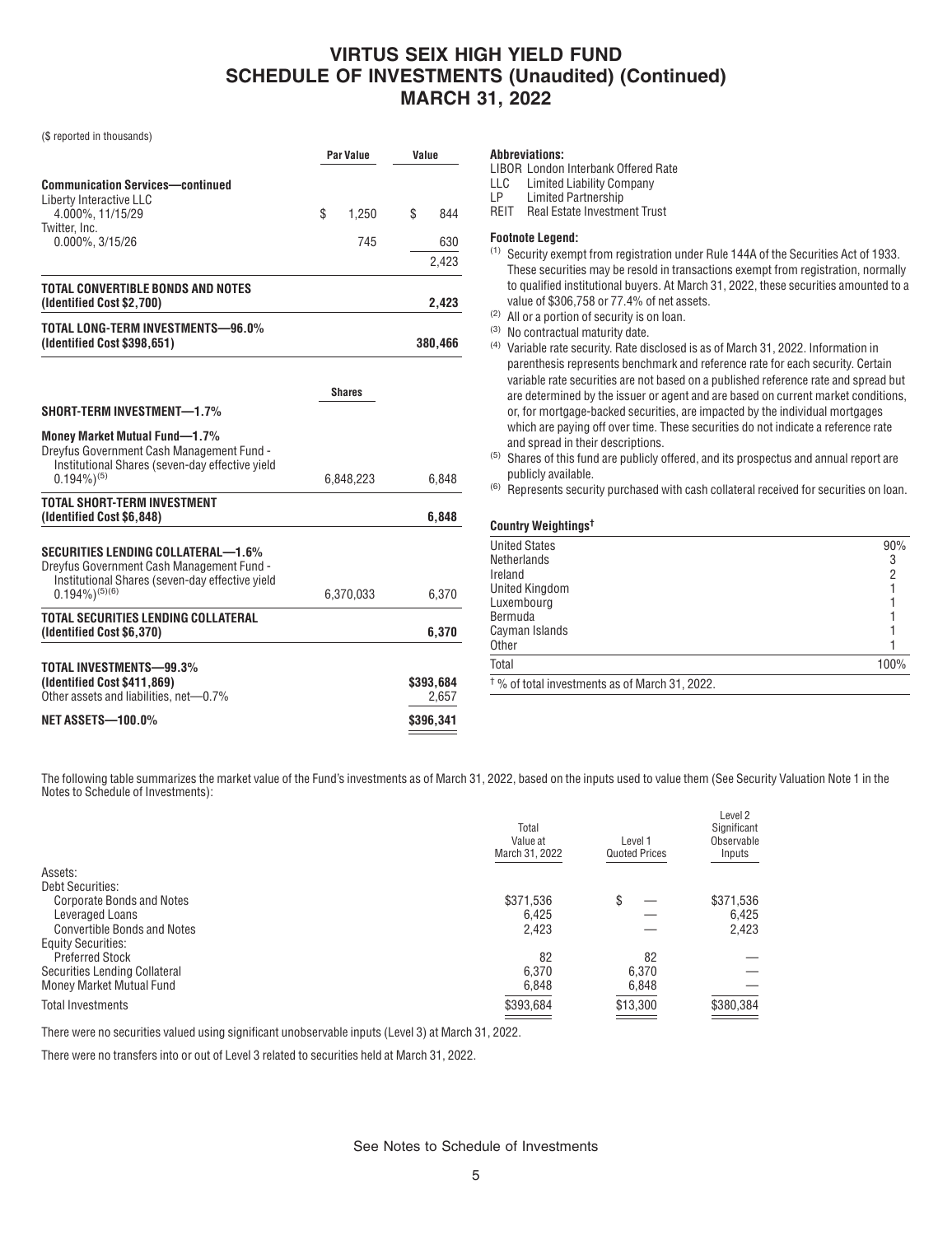(\$ reported in thousands)

|                                                                                                                                      | Par Value     |    | Value     |  |
|--------------------------------------------------------------------------------------------------------------------------------------|---------------|----|-----------|--|
| <b>Communication Services-continued</b>                                                                                              |               |    |           |  |
| Liberty Interactive LLC<br>4.000%, 11/15/29                                                                                          | \$<br>1.250   | \$ | 844       |  |
| Twitter, Inc.                                                                                                                        |               |    |           |  |
| $0.000\%$ , $3/15/26$                                                                                                                | 745           |    | 630       |  |
|                                                                                                                                      |               |    | 2,423     |  |
| TOTAL CONVERTIBLE BONDS AND NOTES<br>(Identified Cost \$2,700)                                                                       |               |    | 2,423     |  |
| TOTAL LONG-TERM INVESTMENTS-96.0%<br>(Identified Cost \$398,651)                                                                     |               |    | 380,466   |  |
|                                                                                                                                      | <b>Shares</b> |    |           |  |
| SHORT-TERM INVESTMENT-1.7%                                                                                                           |               |    |           |  |
| <b>Money Market Mutual Fund-1.7%</b><br>Dreyfus Government Cash Management Fund -<br>Institutional Shares (seven-day effective yield |               |    |           |  |
| $0.194\%$ <sup>(5)</sup>                                                                                                             | 6,848,223     |    | 6,848     |  |
| <b>TOTAL SHORT-TERM INVESTMENT</b><br>(Identified Cost \$6,848)                                                                      |               |    | 6,848     |  |
| SECURITIES LENDING COLLATERAL—1.6%<br>Dreyfus Government Cash Management Fund -<br>Institutional Shares (seven-day effective yield   |               |    |           |  |
| $0.194\%$ <sup>(5)(6)</sup>                                                                                                          | 6,370,033     |    | 6,370     |  |
| TOTAL SECURITIES LENDING COLLATERAL<br>(Identified Cost \$6,370)                                                                     |               |    | 6,370     |  |
| TOTAL INVESTMENTS-99.3%                                                                                                              |               |    |           |  |
| (Identified Cost \$411,869)                                                                                                          |               |    | \$393,684 |  |
| Other assets and liabilities, net-0.7%                                                                                               |               |    | 2,657     |  |
| <b>NET ASSETS-100.0%</b>                                                                                                             |               |    | \$396,341 |  |

#### **Abbreviations:**

LIBOR London Interbank Offered Rate

LLC Limited Liability Company<br>LP Limited Partnership

Limited Partnership

REIT Real Estate Investment Trust

### **Footnote Legend:**

- (1) Security exempt from registration under Rule 144A of the Securities Act of 1933. These securities may be resold in transactions exempt from registration, normally to qualified institutional buyers. At March 31, 2022, these securities amounted to a value of \$306,758 or 77.4% of net assets.
- (2) All or a portion of security is on loan.
- (3) No contractual maturity date.
- (4) Variable rate security. Rate disclosed is as of March 31, 2022. Information in parenthesis represents benchmark and reference rate for each security. Certain variable rate securities are not based on a published reference rate and spread but are determined by the issuer or agent and are based on current market conditions, or, for mortgage-backed securities, are impacted by the individual mortgages which are paying off over time. These securities do not indicate a reference rate and spread in their descriptions.
- $^{(5)}$  Shares of this fund are publicly offered, and its prospectus and annual report are publicly available.
- (6) Represents security purchased with cash collateral received for securities on loan.

### **Country Weightings†**

| <b>United States</b>                                      | 90%  |
|-----------------------------------------------------------|------|
| Netherlands                                               |      |
| Ireland                                                   |      |
| <b>United Kingdom</b>                                     |      |
| Luxembourg                                                |      |
| Bermuda                                                   |      |
| Cayman Islands                                            |      |
| Other                                                     |      |
| Total                                                     | 100% |
| <sup>†</sup> % of total investments as of March 31, 2022. |      |

The following table summarizes the market value of the Fund's investments as of March 31, 2022, based on the inputs used to value them (See Security Valuation Note 1 in the Notes to Schedule of Investments):

|                                    | Total<br>Value at<br>March 31, 2022 | Level 1<br><b>Quoted Prices</b> | Level 2<br>Significant<br>Observable<br>Inputs |
|------------------------------------|-------------------------------------|---------------------------------|------------------------------------------------|
| Assets:                            |                                     |                                 |                                                |
| <b>Debt Securities:</b>            |                                     |                                 |                                                |
| <b>Corporate Bonds and Notes</b>   | \$371,536                           | \$                              | \$371,536                                      |
| Leveraged Loans                    | 6.425                               |                                 | 6.425                                          |
| <b>Convertible Bonds and Notes</b> | 2.423                               |                                 | 2,423                                          |
| <b>Equity Securities:</b>          |                                     |                                 |                                                |
| <b>Preferred Stock</b>             | 82                                  | 82                              |                                                |
| Securities Lending Collateral      | 6,370                               | 6,370                           |                                                |
| Money Market Mutual Fund           | 6,848                               | 6,848                           |                                                |
| <b>Total Investments</b>           | \$393,684                           | \$13,300                        | \$380,384                                      |
|                                    |                                     |                                 |                                                |

There were no securities valued using significant unobservable inputs (Level 3) at March 31, 2022.

There were no transfers into or out of Level 3 related to securities held at March 31, 2022.